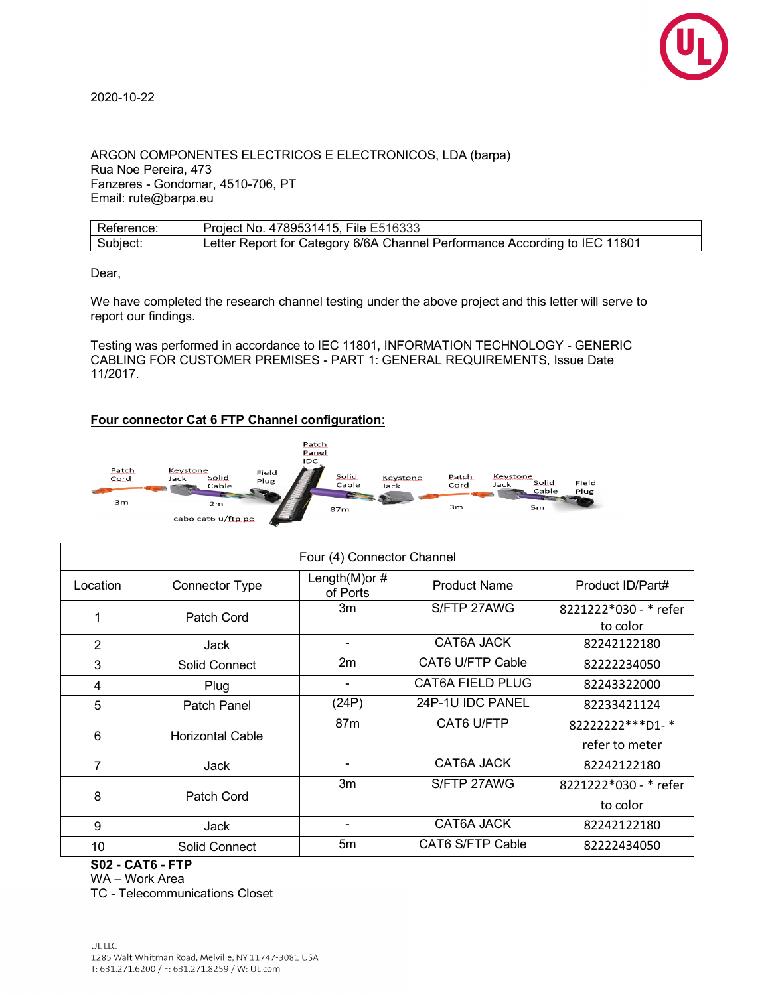

## 2020-10-22

ARGON COMPONENTES ELECTRICOS E ELECTRONICOS, LDA (barpa) Rua Noe Pereira, 473 Fanzeres - Gondomar, 4510-706, PT Email: rute@barpa.eu

| Reference: | Project No. 4789531415, File E516333                                       |
|------------|----------------------------------------------------------------------------|
| Subject:   | Letter Report for Category 6/6A Channel Performance According to IEC 11801 |

Dear,

We have completed the research channel testing under the above project and this letter will serve to report our findings.

Testing was performed in accordance to IEC 11801, INFORMATION TECHNOLOGY - GENERIC CABLING FOR CUSTOMER PREMISES - PART 1: GENERAL REQUIREMENTS, Issue Date 11/2017.

## **Four connector Cat 6 FTP Channel configuration:**



| Four (4) Connector Channel |                         |                               |                         |                                   |  |
|----------------------------|-------------------------|-------------------------------|-------------------------|-----------------------------------|--|
| Location                   | <b>Connector Type</b>   | Length $(M)$ or #<br>of Ports | <b>Product Name</b>     | Product ID/Part#                  |  |
|                            | Patch Cord              | 3m                            | S/FTP 27AWG             | 8221222*030 - * refer<br>to color |  |
| $\overline{2}$             | Jack                    |                               | CAT6A JACK              | 82242122180                       |  |
| 3                          | Solid Connect           | 2m                            | <b>CAT6 U/FTP Cable</b> | 82222234050                       |  |
| 4                          | Plug                    |                               | <b>CAT6A FIELD PLUG</b> | 82243322000                       |  |
| 5                          | Patch Panel             | (24P)                         | 24P-1U IDC PANEL        | 82233421124                       |  |
| 6                          | <b>Horizontal Cable</b> | 87 <sub>m</sub>               | CAT6 U/FTP              | 82222222***D1-*                   |  |
|                            |                         |                               |                         | refer to meter                    |  |
| 7                          | Jack                    |                               | CAT6A JACK              | 82242122180                       |  |
| 8                          | Patch Cord              | 3m                            | S/FTP 27AWG             | 8221222*030 - * refer             |  |
|                            |                         |                               |                         | to color                          |  |
| 9                          | Jack                    |                               | CAT6A JACK              | 82242122180                       |  |
| 10                         | Solid Connect           | 5m                            | CAT6 S/FTP Cable        | 82222434050                       |  |

**S02 - CAT6 - FTP**

TC - Telecommunications Closet

WA – Work Area